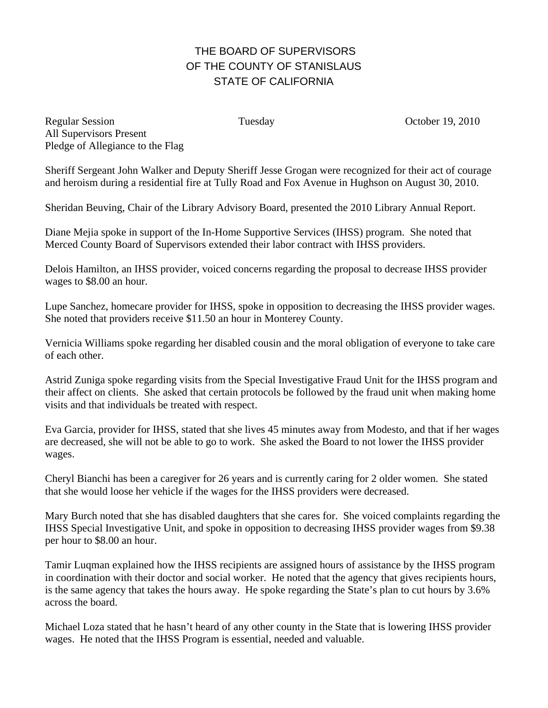## THE BOARD OF SUPERVISORS OF THE COUNTY OF STANISLAUS STATE OF CALIFORNIA

Regular Session Tuesday Corober 19, 2010 All Supervisors Present Pledge of Allegiance to the Flag

Sheriff Sergeant John Walker and Deputy Sheriff Jesse Grogan were recognized for their act of courage and heroism during a residential fire at Tully Road and Fox Avenue in Hughson on August 30, 2010.

Sheridan Beuving, Chair of the Library Advisory Board, presented the 2010 Library Annual Report.

Diane Mejia spoke in support of the In-Home Supportive Services (IHSS) program. She noted that Merced County Board of Supervisors extended their labor contract with IHSS providers.

Delois Hamilton, an IHSS provider, voiced concerns regarding the proposal to decrease IHSS provider wages to \$8.00 an hour.

Lupe Sanchez, homecare provider for IHSS, spoke in opposition to decreasing the IHSS provider wages. She noted that providers receive \$11.50 an hour in Monterey County.

Vernicia Williams spoke regarding her disabled cousin and the moral obligation of everyone to take care of each other.

Astrid Zuniga spoke regarding visits from the Special Investigative Fraud Unit for the IHSS program and their affect on clients. She asked that certain protocols be followed by the fraud unit when making home visits and that individuals be treated with respect.

Eva Garcia, provider for IHSS, stated that she lives 45 minutes away from Modesto, and that if her wages are decreased, she will not be able to go to work. She asked the Board to not lower the IHSS provider wages.

Cheryl Bianchi has been a caregiver for 26 years and is currently caring for 2 older women. She stated that she would loose her vehicle if the wages for the IHSS providers were decreased.

Mary Burch noted that she has disabled daughters that she cares for. She voiced complaints regarding the IHSS Special Investigative Unit, and spoke in opposition to decreasing IHSS provider wages from \$9.38 per hour to \$8.00 an hour.

Tamir Luqman explained how the IHSS recipients are assigned hours of assistance by the IHSS program in coordination with their doctor and social worker. He noted that the agency that gives recipients hours, is the same agency that takes the hours away. He spoke regarding the State's plan to cut hours by 3.6% across the board.

Michael Loza stated that he hasn't heard of any other county in the State that is lowering IHSS provider wages. He noted that the IHSS Program is essential, needed and valuable.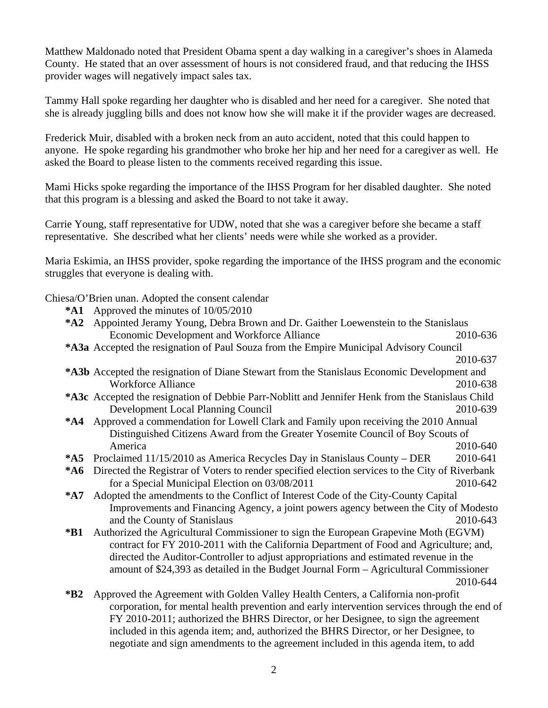Matthew Maldonado noted that President Obama spent a day walking in a caregiver's shoes in Alameda County. He stated that an over assessment of hours is not considered fraud, and that reducing the IHSS provider wages will negatively impact sales tax.

Tammy Hall spoke regarding her daughter who is disabled and her need for a caregiver. She noted that she is already juggling bills and does not know how she will make it if the provider wages are decreased.

Frederick Muir, disabled with a broken neck from an auto accident, noted that this could happen to anyone. He spoke regarding his grandmother who broke her hip and her need for a caregiver as well. He asked the Board to please listen to the comments received regarding this issue.

Mami Hicks spoke regarding the importance of the IHSS Program for her disabled daughter. She noted that this program is a blessing and asked the Board to not take it away.

Carrie Young, staff representative for UDW, noted that she was a caregiver before she became a staff representative. She described what her clients' needs were while she worked as a provider.

Maria Eskimia, an IHSS provider, spoke regarding the importance of the IHSS program and the economic struggles that everyone is dealing with.

Chiesa/O'Brien unan. Adopted the consent calendar

- **\*A1** Approved the minutes of 10/05/2010
- **\*A2** Appointed Jeramy Young, Debra Brown and Dr. Gaither Loewenstein to the Stanislaus Economic Development and Workforce Alliance 2010-636
- **\*A3a** Accepted the resignation of Paul Souza from the Empire Municipal Advisory Council

2010-637

- **\*A3b** Accepted the resignation of Diane Stewart from the Stanislaus Economic Development and Workforce Alliance 2010-638
- **\*A3c** Accepted the resignation of Debbie Parr-Noblitt and Jennifer Henk from the Stanislaus Child Development Local Planning Council 2010-639
- **\*A4** Approved a commendation for Lowell Clark and Family upon receiving the 2010 Annual Distinguished Citizens Award from the Greater Yosemite Council of Boy Scouts of America 2010-640
- **\*A5** Proclaimed 11/15/2010 as America Recycles Day in Stanislaus County DER 2010-641
- **\*A6** Directed the Registrar of Voters to render specified election services to the City of Riverbank for a Special Municipal Election on 03/08/2011 2010-642
- **\*A7** Adopted the amendments to the Conflict of Interest Code of the City-County Capital Improvements and Financing Agency, a joint powers agency between the City of Modesto and the County of Stanislaus 2010-643
- **\*B1** Authorized the Agricultural Commissioner to sign the European Grapevine Moth (EGVM) contract for FY 2010-2011 with the California Department of Food and Agriculture; and, directed the Auditor-Controller to adjust appropriations and estimated revenue in the amount of \$24,393 as detailed in the Budget Journal Form – Agricultural Commissioner 2010-644
- **\*B2** Approved the Agreement with Golden Valley Health Centers, a California non-profit corporation, for mental health prevention and early intervention services through the end of FY 2010-2011; authorized the BHRS Director, or her Designee, to sign the agreement included in this agenda item; and, authorized the BHRS Director, or her Designee, to negotiate and sign amendments to the agreement included in this agenda item, to add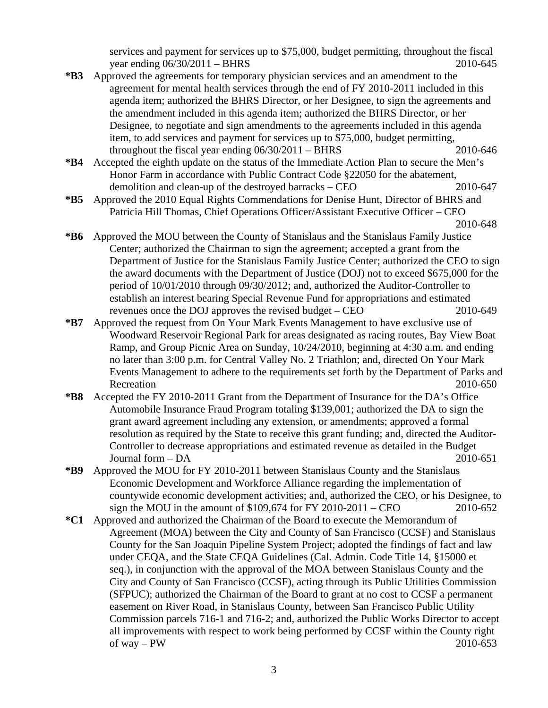services and payment for services up to \$75,000, budget permitting, throughout the fiscal year ending  $06/30/2011 - BHRS$  2010-645

- **\*B3** Approved the agreements for temporary physician services and an amendment to the agreement for mental health services through the end of FY 2010-2011 included in this agenda item; authorized the BHRS Director, or her Designee, to sign the agreements and the amendment included in this agenda item; authorized the BHRS Director, or her Designee, to negotiate and sign amendments to the agreements included in this agenda item, to add services and payment for services up to \$75,000, budget permitting, throughout the fiscal year ending  $06/30/2011 - BHRS$  2010-646
- **\*B4** Accepted the eighth update on the status of the Immediate Action Plan to secure the Men's Honor Farm in accordance with Public Contract Code §22050 for the abatement, demolition and clean-up of the destroyed barracks – CEO 2010-647
- **\*B5** Approved the 2010 Equal Rights Commendations for Denise Hunt, Director of BHRS and Patricia Hill Thomas, Chief Operations Officer/Assistant Executive Officer – CEO 2010-648

- **\*B6** Approved the MOU between the County of Stanislaus and the Stanislaus Family Justice Center; authorized the Chairman to sign the agreement; accepted a grant from the Department of Justice for the Stanislaus Family Justice Center; authorized the CEO to sign the award documents with the Department of Justice (DOJ) not to exceed \$675,000 for the period of 10/01/2010 through 09/30/2012; and, authorized the Auditor-Controller to establish an interest bearing Special Revenue Fund for appropriations and estimated revenues once the DOJ approves the revised budget – CEO 2010-649
- **\*B7** Approved the request from On Your Mark Events Management to have exclusive use of Woodward Reservoir Regional Park for areas designated as racing routes, Bay View Boat Ramp, and Group Picnic Area on Sunday, 10/24/2010, beginning at 4:30 a.m. and ending no later than 3:00 p.m. for Central Valley No. 2 Triathlon; and, directed On Your Mark Events Management to adhere to the requirements set forth by the Department of Parks and Recreation 2010-650
- **\*B8** Accepted the FY 2010-2011 Grant from the Department of Insurance for the DA's Office Automobile Insurance Fraud Program totaling \$139,001; authorized the DA to sign the grant award agreement including any extension, or amendments; approved a formal resolution as required by the State to receive this grant funding; and, directed the Auditor-Controller to decrease appropriations and estimated revenue as detailed in the Budget Journal form – DA 2010-651
- **\*B9** Approved the MOU for FY 2010-2011 between Stanislaus County and the Stanislaus Economic Development and Workforce Alliance regarding the implementation of countywide economic development activities; and, authorized the CEO, or his Designee, to sign the MOU in the amount of \$109,674 for FY 2010-2011 – CEO 2010-652
- **\*C1** Approved and authorized the Chairman of the Board to execute the Memorandum of Agreement (MOA) between the City and County of San Francisco (CCSF) and Stanislaus County for the San Joaquin Pipeline System Project; adopted the findings of fact and law under CEQA, and the State CEQA Guidelines (Cal. Admin. Code Title 14, §15000 et seq.), in conjunction with the approval of the MOA between Stanislaus County and the City and County of San Francisco (CCSF), acting through its Public Utilities Commission (SFPUC); authorized the Chairman of the Board to grant at no cost to CCSF a permanent easement on River Road, in Stanislaus County, between San Francisco Public Utility Commission parcels 716-1 and 716-2; and, authorized the Public Works Director to accept all improvements with respect to work being performed by CCSF within the County right of way – PW 2010-653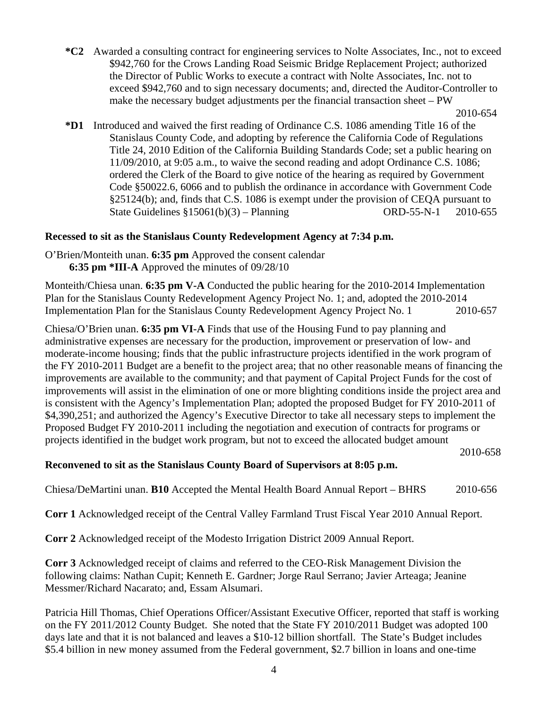**\*C2** Awarded a consulting contract for engineering services to Nolte Associates, Inc., not to exceed \$942,760 for the Crows Landing Road Seismic Bridge Replacement Project; authorized the Director of Public Works to execute a contract with Nolte Associates, Inc. not to exceed \$942,760 and to sign necessary documents; and, directed the Auditor-Controller to make the necessary budget adjustments per the financial transaction sheet – PW

**\*D1** Introduced and waived the first reading of Ordinance C.S. 1086 amending Title 16 of the Stanislaus County Code, and adopting by reference the California Code of Regulations Title 24, 2010 Edition of the California Building Standards Code; set a public hearing on 11/09/2010, at 9:05 a.m., to waive the second reading and adopt Ordinance C.S. 1086; ordered the Clerk of the Board to give notice of the hearing as required by Government Code §50022.6, 6066 and to publish the ordinance in accordance with Government Code §25124(b); and, finds that C.S. 1086 is exempt under the provision of CEQA pursuant to State Guidelines §15061(b)(3) – Planning ORD-55-N-1 2010-655

## **Recessed to sit as the Stanislaus County Redevelopment Agency at 7:34 p.m.**

O'Brien/Monteith unan. **6:35 pm** Approved the consent calendar **6:35 pm \*III-A** Approved the minutes of 09/28/10

Monteith/Chiesa unan. **6:35 pm V-A** Conducted the public hearing for the 2010-2014 Implementation Plan for the Stanislaus County Redevelopment Agency Project No. 1; and, adopted the 2010-2014 Implementation Plan for the Stanislaus County Redevelopment Agency Project No. 1 2010-657

Chiesa/O'Brien unan. **6:35 pm VI-A** Finds that use of the Housing Fund to pay planning and administrative expenses are necessary for the production, improvement or preservation of low- and moderate-income housing; finds that the public infrastructure projects identified in the work program of the FY 2010-2011 Budget are a benefit to the project area; that no other reasonable means of financing the improvements are available to the community; and that payment of Capital Project Funds for the cost of improvements will assist in the elimination of one or more blighting conditions inside the project area and is consistent with the Agency's Implementation Plan; adopted the proposed Budget for FY 2010-2011 of \$4,390,251; and authorized the Agency's Executive Director to take all necessary steps to implement the Proposed Budget FY 2010-2011 including the negotiation and execution of contracts for programs or projects identified in the budget work program, but not to exceed the allocated budget amount

2010-658

## **Reconvened to sit as the Stanislaus County Board of Supervisors at 8:05 p.m.**

Chiesa/DeMartini unan. **B10** Accepted the Mental Health Board Annual Report – BHRS 2010-656

**Corr 1** Acknowledged receipt of the Central Valley Farmland Trust Fiscal Year 2010 Annual Report.

**Corr 2** Acknowledged receipt of the Modesto Irrigation District 2009 Annual Report.

**Corr 3** Acknowledged receipt of claims and referred to the CEO-Risk Management Division the following claims: Nathan Cupit; Kenneth E. Gardner; Jorge Raul Serrano; Javier Arteaga; Jeanine Messmer/Richard Nacarato; and, Essam Alsumari.

Patricia Hill Thomas, Chief Operations Officer/Assistant Executive Officer, reported that staff is working on the FY 2011/2012 County Budget. She noted that the State FY 2010/2011 Budget was adopted 100 days late and that it is not balanced and leaves a \$10-12 billion shortfall. The State's Budget includes \$5.4 billion in new money assumed from the Federal government, \$2.7 billion in loans and one-time